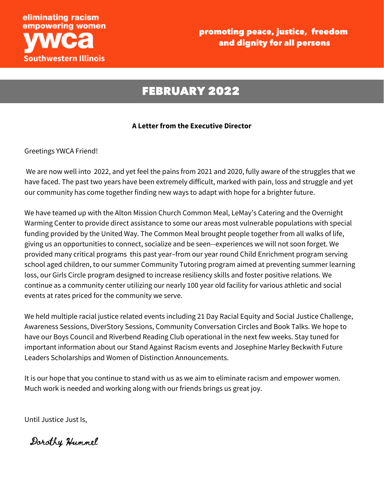

### FEBRUARY 2022

#### **A Letter from the Executive Director**

Greetings YWCA Friend!

We are now well into 2022, and yet feel the pains from 2021 and 2020, fully aware of the struggles that we have faced. The past two years have been extremely difficult, marked with pain, loss and struggle and yet our community has come together finding new ways to adapt with hope for a brighter future.

We have teamed up with the Alton Mission Church Common Meal, LeMay's Catering and the Overnight Warming Center to provide direct assistance to some our areas most vulnerable populations with special funding provided by the United Way. The Common Meal brought people together from all walks of life, giving us an opportunities to connect, socialize and be seen--experiences we will not soon forget. We provided many critical programs this past year–from our year round Child Enrichment program serving school aged children, to our summer Community Tutoring program aimed at preventing summer learning loss, our Girls Circle program designed to increase resiliency skills and foster positive relations. We continue as a community center utilizing our nearly 100 year old facility for various athletic and social events at rates priced for the community we serve.

We held multiple racial justice related events including 21 Day Racial Equity and Social Justice Challenge, Awareness Sessions, DiverStory Sessions, Community Conversation Circles and Book Talks. We hope to have our Boys Council and Riverbend Reading Club operational in the next few weeks. Stay tuned for important information about our Stand Against Racism events and Josephine Marley Beckwith Future Leaders Scholarships and Women of Distinction Announcements.

It is our hope that you continue to stand with us as we aim to eliminate racism and empower women. Much work is needed and working along with our friends brings us great joy.

Until Justice Just Is,

Dorothy Hummel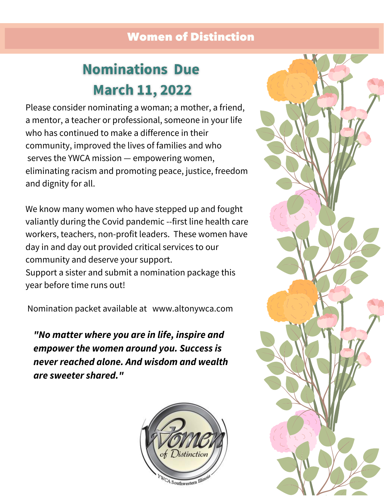### Women of Distinction

# **Nominations Due March 11, 2022**

Please consider nominating a woman; a mother, a friend, a mentor, a teacher or professional, someone in your life who has continued to make a difference in their community, improved the lives of families and who serves the YWCA mission — empowering women, eliminating racism and promoting peace, justice, freedom and dignity for all.

We know many women who have stepped up and fought valiantly during the Covid pandemic --first line health care workers, teachers, non-profit leaders. These women have day in and day out provided critical services to our community and deserve your support. Support a sister and submit a nomination package this year before time runs out!

Nomination packet available at www.altonywca.com

*"No matter where you are in life, inspire and empower the women around you. Success is never reached alone. And wisdom and wealth are sweeter shared."*



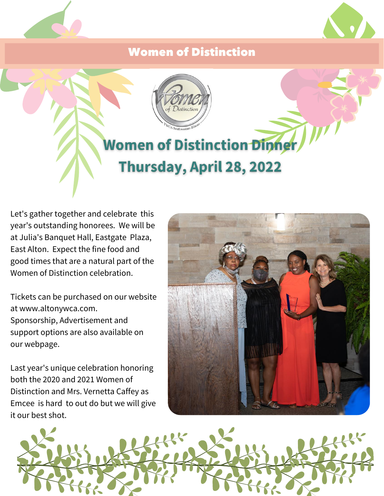### Women of Distinction





Let's gather together and celebrate this year's outstanding honorees. We will be at Julia's Banquet Hall, Eastgate Plaza, East Alton. Expect the fine food and good times that are a natural part of the Women of Distinction celebration.

Tickets can be purchased on our website at www.altonywca.com. Sponsorship, Advertisement and support options are also available on our webpage.

Last year's unique celebration honoring both the 2020 and 2021 Women of Distinction and Mrs. Vernetta Caffey as Emcee is hard to out do but we will give it our best shot.



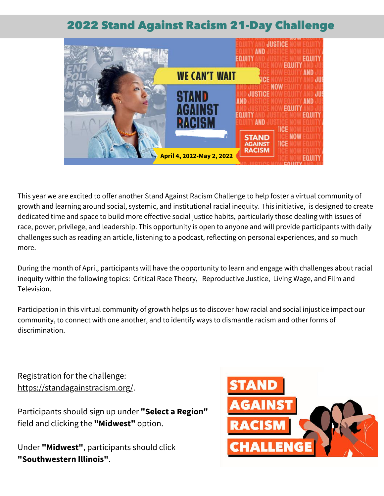### 2022 Stand Against Racism 21-Day Challenge



This year we are excited to offer another Stand Against Racism Challenge to help foster a virtual community of growth and learning around social, systemic, and institutional racial inequity. This initiative, is designed to create dedicated time and space to build more effective social justice habits, particularly those dealing with issues of race, power, privilege, and leadership. This opportunity is open to anyone and will provide participants with daily challenges such as reading an article, listening to a podcast, reflecting on personal experiences, and so much more.

During the month of April, participants will have the opportunity to learn and engage with challenges about racial inequity within the following topics: Critical Race Theory, Reproductive Justice, Living Wage, and Film and Television.

Participation in this virtual community of growth helps us to discover how racial and social injustice impact our community, to connect with one another, and to identify ways to dismantle racism and other forms of discrimination.

Registration for the challenge: [https://standagainstracism.org/.](https://standagainstracism.org/)

Participants should sign up under **"Select a Region"** field and clicking the **"Midwest"** option.

Under **"Midwest"**, participants should click **"Southwestern Illinois"**.

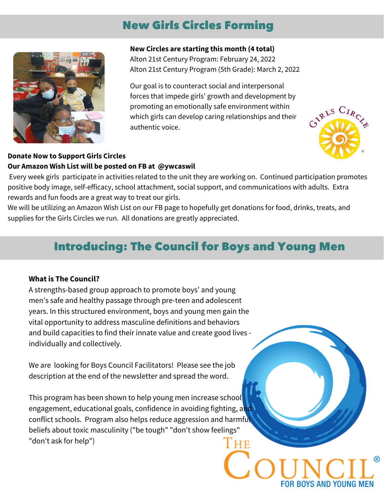### New Girls Circles Forming



#### **New Circles are starting this month (4 total)**

Alton 21st Century Program: February 24, 2022 Alton 21st Century Program (5th Grade): March 2, 2022

Our goal is to counteract social and interpersonal forces that impede girls' growth and development by promoting an emotionally safe environment within which girls can develop caring relationships and their authentic voice.



YS AND YOUNG

### **Donate Now to Support Girls Circles Our Amazon Wish List will be posted on FB at @ywcaswil**

Every week girls participate in activities related to the unit they are working on. Continued participation promotes positive body image, self-efficacy, school attachment, social support, and communications with adults. Extra rewards and fun foods are a great way to treat our girls.

We will be utilizing an Amazon Wish List on our FB page to hopefully get donations for food, drinks, treats, and supplies for the Girls Circles we run. All donations are greatly appreciated.

## Introducing: The Council for Boys and Young Men

#### **What is The Council?**

A strengths-based group approach to promote boys' and young men's safe and healthy passage through pre-teen and adolescent years. In this structured environment, boys and young men gain the vital opportunity to address masculine definitions and behaviors and build capacities to find their innate value and create good lives individually and collectively.

We are looking for Boys Council Facilitators! Please see the job description at the end of the newsletter and spread the word.

This program has been shown to help young men increase school engagement, educational goals, confidence in avoiding fighting, and conflict schools. Program also helps reduce aggression and harmful beliefs about toxic masculinity ("be tough" "don't show feelings" "don't ask for help") l'he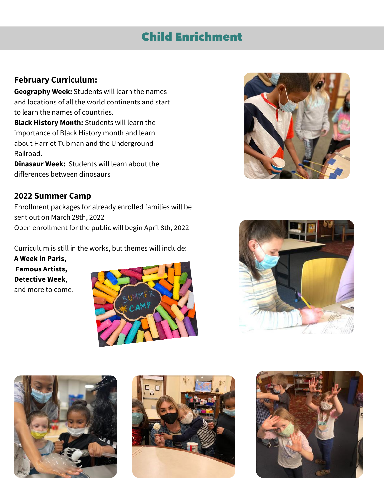### Child Enrichment

### **February Curriculum:**

**Geography Week:** Students will learn the names and locations of all the world continents and start to learn the names of countries.

**Black History Month:** Students will learn the importance of Black History month and learn about Harriet Tubman and the Underground Railroad.

**Dinasaur Week:** Students will learn about the differences between dinosaurs

### **2022 Summer Camp**

Enrollment packages for already enrolled families will be sent out on March 28th, 2022 Open enrollment for the public will begin April 8th, 2022

Curriculum is still in the works, but themes will include:

**A Week in Paris, Famous Artists, Detective Week**, and more to come.